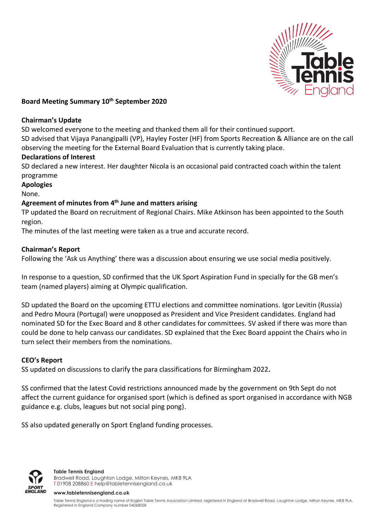

## **Board Meeting Summary 10th September 2020**

## **Chairman's Update**

SD welcomed everyone to the meeting and thanked them all for their continued support.

SD advised that Vijaya Panangipalli (VP), Hayley Foster (HF) from Sports Recreation & Alliance are on the call observing the meeting for the External Board Evaluation that is currently taking place.

## **Declarations of Interest**

SD declared a new interest. Her daughter Nicola is an occasional paid contracted coach within the talent programme

## **Apologies**

None.

# **Agreement of minutes from 4 th June and matters arising**

TP updated the Board on recruitment of Regional Chairs. Mike Atkinson has been appointed to the South region.

The minutes of the last meeting were taken as a true and accurate record.

## **Chairman's Report**

Following the 'Ask us Anything' there was a discussion about ensuring we use social media positively.

In response to a question, SD confirmed that the UK Sport Aspiration Fund in specially for the GB men's team (named players) aiming at Olympic qualification.

SD updated the Board on the upcoming ETTU elections and committee nominations. Igor Levitin (Russia) and Pedro Moura (Portugal) were unopposed as President and Vice President candidates. England had nominated SD for the Exec Board and 8 other candidates for committees. SV asked if there was more than could be done to help canvass our candidates. SD explained that the Exec Board appoint the Chairs who in turn select their members from the nominations.

### **CEO's Report**

SS updated on discussions to clarify the para classifications for Birmingham 2022**.**

SS confirmed that the latest Covid restrictions announced made by the government on 9th Sept do not affect the current guidance for organised sport (which is defined as sport organised in accordance with NGB guidance e.g. clubs, leagues but not social ping pong).

SS also updated generally on Sport England funding processes.



**Table Tennis England** Bradwell Road, Loughton Lodge, Milton Keynes, MK8 9LA T 01908 208860 [E help@tabletennisengland.co.uk](mailto:help@tabletennisengland.co.uk)

**[www.tabletennisengland.co.uk](http://www.tabletennisengland.co.uk/)**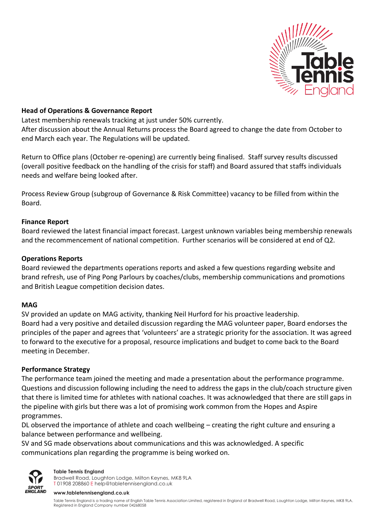

## **Head of Operations & Governance Report**

Latest membership renewals tracking at just under 50% currently.

After discussion about the Annual Returns process the Board agreed to change the date from October to end March each year. The Regulations will be updated.

Return to Office plans (October re-opening) are currently being finalised. Staff survey results discussed (overall positive feedback on the handling of the crisis for staff) and Board assured that staffs individuals needs and welfare being looked after.

Process Review Group (subgroup of Governance & Risk Committee) vacancy to be filled from within the Board.

### **Finance Report**

Board reviewed the latest financial impact forecast. Largest unknown variables being membership renewals and the recommencement of national competition. Further scenarios will be considered at end of Q2.

## **Operations Reports**

Board reviewed the departments operations reports and asked a few questions regarding website and brand refresh, use of Ping Pong Parlours by coaches/clubs, membership communications and promotions and British League competition decision dates.

### **MAG**

SV provided an update on MAG activity, thanking Neil Hurford for his proactive leadership. Board had a very positive and detailed discussion regarding the MAG volunteer paper, Board endorses the principles of the paper and agrees that 'volunteers' are a strategic priority for the association. It was agreed to forward to the executive for a proposal, resource implications and budget to come back to the Board meeting in December.

### **Performance Strategy**

The performance team joined the meeting and made a presentation about the performance programme. Questions and discussion following including the need to address the gaps in the club/coach structure given that there is limited time for athletes with national coaches. It was acknowledged that there are still gaps in the pipeline with girls but there was a lot of promising work common from the Hopes and Aspire programmes.

DL observed the importance of athlete and coach wellbeing – creating the right culture and ensuring a balance between performance and wellbeing.

SV and SG made observations about communications and this was acknowledged. A specific communications plan regarding the programme is being worked on.



#### **Table Tennis England**

Bradwell Road, Loughton Lodge, Milton Keynes, MK8 9LA T 01908 208860 [E help@tabletennisengland.co.uk](mailto:help@tabletennisengland.co.uk)

**[www.tabletennisengland.co.uk](http://www.tabletennisengland.co.uk/)**